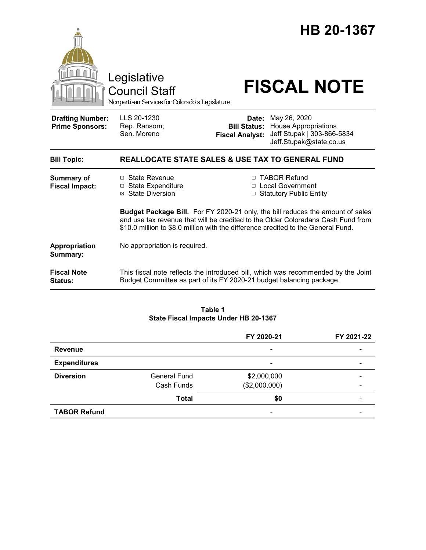|                                                   | Legislative<br><b>Council Staff</b><br>Nonpartisan Services for Colorado's Legislature                                                                                                                                                                         |                                 | HB 20-1367<br><b>FISCAL NOTE</b>                                                                                  |  |
|---------------------------------------------------|----------------------------------------------------------------------------------------------------------------------------------------------------------------------------------------------------------------------------------------------------------------|---------------------------------|-------------------------------------------------------------------------------------------------------------------|--|
| <b>Drafting Number:</b><br><b>Prime Sponsors:</b> | LLS 20-1230<br>Rep. Ransom;<br>Sen. Moreno                                                                                                                                                                                                                     | Date:<br><b>Fiscal Analyst:</b> | May 26, 2020<br><b>Bill Status: House Appropriations</b><br>Jeff Stupak   303-866-5834<br>Jeff.Stupak@state.co.us |  |
| <b>Bill Topic:</b>                                | <b>REALLOCATE STATE SALES &amp; USE TAX TO GENERAL FUND</b>                                                                                                                                                                                                    |                                 |                                                                                                                   |  |
| <b>Summary of</b><br><b>Fiscal Impact:</b>        | $\Box$ State Revenue<br>$\Box$ State Expenditure<br>⊠ State Diversion                                                                                                                                                                                          |                                 | □ TABOR Refund<br>□ Local Government<br>□ Statutory Public Entity                                                 |  |
|                                                   | <b>Budget Package Bill.</b> For FY 2020-21 only, the bill reduces the amount of sales<br>and use tax revenue that will be credited to the Older Coloradans Cash Fund from<br>\$10.0 million to \$8.0 million with the difference credited to the General Fund. |                                 |                                                                                                                   |  |
| Appropriation<br>Summary:                         | No appropriation is required.                                                                                                                                                                                                                                  |                                 |                                                                                                                   |  |
| <b>Fiscal Note</b><br><b>Status:</b>              | This fiscal note reflects the introduced bill, which was recommended by the Joint<br>Budget Committee as part of its FY 2020-21 budget balancing package.                                                                                                      |                                 |                                                                                                                   |  |

## **Table 1 State Fiscal Impacts Under HB 20-1367**

|                     |                     | FY 2020-21               | FY 2021-22 |
|---------------------|---------------------|--------------------------|------------|
| <b>Revenue</b>      |                     | $\overline{\phantom{a}}$ |            |
| <b>Expenditures</b> |                     | $\overline{\phantom{a}}$ |            |
| <b>Diversion</b>    | <b>General Fund</b> | \$2,000,000              |            |
|                     | Cash Funds          | (\$2,000,000)            |            |
|                     | <b>Total</b>        | \$0                      |            |
| <b>TABOR Refund</b> |                     | $\overline{\phantom{a}}$ |            |